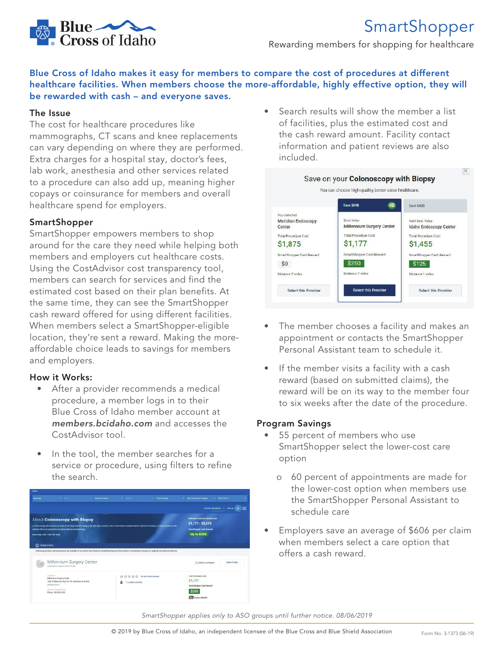

# SmartShopper

Rewarding members for shopping for healthcare

#### Blue Cross of Idaho makes it easy for members to compare the cost of procedures at different healthcare facilities. When members choose the more-affordable, highly effective option, they will be rewarded with cash – and everyone saves.

#### The Issue

The cost for healthcare procedures like mammographs, CT scans and knee replacements can vary depending on where they are performed. Extra charges for a hospital stay, doctor's fees, lab work, anesthesia and other services related to a procedure can also add up, meaning higher copays or coinsurance for members and overall healthcare spend for employers.

#### SmartShopper

SmartShopper empowers members to shop around for the care they need while helping both members and employers cut healthcare costs. Using the CostAdvisor cost transparency tool, members can search for services and find the estimated cost based on their plan benefits. At the same time, they can see the SmartShopper cash reward offered for using different facilities. When members select a SmartShopper-eligible location, they're sent a reward. Making the moreaffordable choice leads to savings for members and employers.

#### How it Works:

- After a provider recommends a medical procedure, a member logs in to their Blue Cross of Idaho member account at *members.bcidaho.com* and accesses the CostAdvisor tool.
- In the tool, the member searches for a service or procedure, using filters to refine the search.



• Search results will show the member a list of facilities, plus the estimated cost and the cash reward amount. Facility contact information and patient reviews are also included.



- The member chooses a facility and makes an appointment or contacts the SmartShopper Personal Assistant team to schedule it.
- If the member visits a facility with a cash reward (based on submitted claims), the reward will be on its way to the member four to six weeks after the date of the procedure.

#### Program Savings

- 55 percent of members who use SmartShopper select the lower-cost care option
	- o 60 percent of appointments are made for the lower-cost option when members use the SmartShopper Personal Assistant to schedule care
- Employers save an average of \$606 per claim when members select a care option that offers a cash reward.

*SmartShopper applies only to ASO groups until further notice. 08/06/2019*